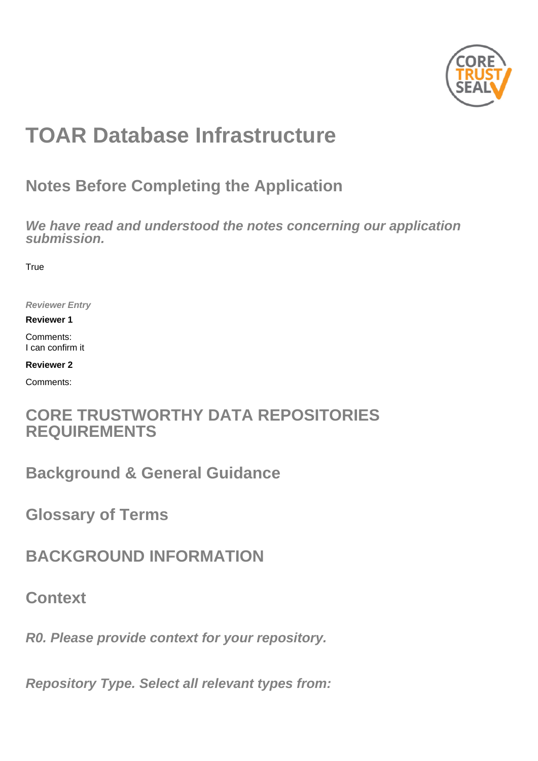

# **TOAR Database Infrastructure**

## **Notes Before Completing the Application**

**We have read and understood the notes concerning our application submission.**

**True** 

**Reviewer Entry**

**Reviewer 1**

Comments: I can confirm it

**Reviewer 2**

Comments:

## **CORE TRUSTWORTHY DATA REPOSITORIES REQUIREMENTS**

**Background & General Guidance**

**Glossary of Terms**

**BACKGROUND INFORMATION**

**Context**

**R0. Please provide context for your repository.**

**Repository Type. Select all relevant types from:**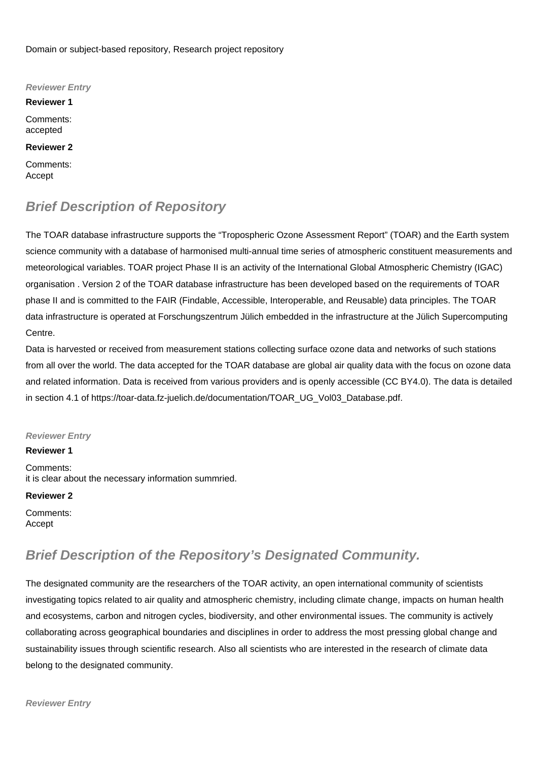Domain or subject-based repository, Research project repository

**Reviewer Entry**

**Reviewer 1** Comments: accepted

**Reviewer 2**

Comments: Accept

### **Brief Description of Repository**

The TOAR database infrastructure supports the "Tropospheric Ozone Assessment Report" (TOAR) and the Earth system science community with a database of harmonised multi-annual time series of atmospheric constituent measurements and meteorological variables. TOAR project Phase II is an activity of the International Global Atmospheric Chemistry (IGAC) organisation . Version 2 of the TOAR database infrastructure has been developed based on the requirements of TOAR phase II and is committed to the FAIR (Findable, Accessible, Interoperable, and Reusable) data principles. The TOAR data infrastructure is operated at Forschungszentrum Jülich embedded in the infrastructure at the Jülich Supercomputing Centre.

Data is harvested or received from measurement stations collecting surface ozone data and networks of such stations from all over the world. The data accepted for the TOAR database are global air quality data with the focus on ozone data and related information. Data is received from various providers and is openly accessible (CC BY4.0). The data is detailed in section 4.1 of [https://toar-data.fz-juelich.de/documentation/TOAR\\_UG\\_Vol03\\_Database.pdf.](https://toar-data.fz-juelich.de/documentation/TOAR_UG_Vol03_Database.pdf.)

### **Reviewer Entry**

**Reviewer 1**

Comments: it is clear about the necessary information summried.

### **Reviewer 2**

Comments: Accept

### **Brief Description of the Repository's Designated Community.**

The designated community are the researchers of the TOAR activity, an open international community of scientists investigating topics related to air quality and atmospheric chemistry, including climate change, impacts on human health and ecosystems, carbon and nitrogen cycles, biodiversity, and other environmental issues. The community is actively collaborating across geographical boundaries and disciplines in order to address the most pressing global change and sustainability issues through scientific research. Also all scientists who are interested in the research of climate data belong to the designated community.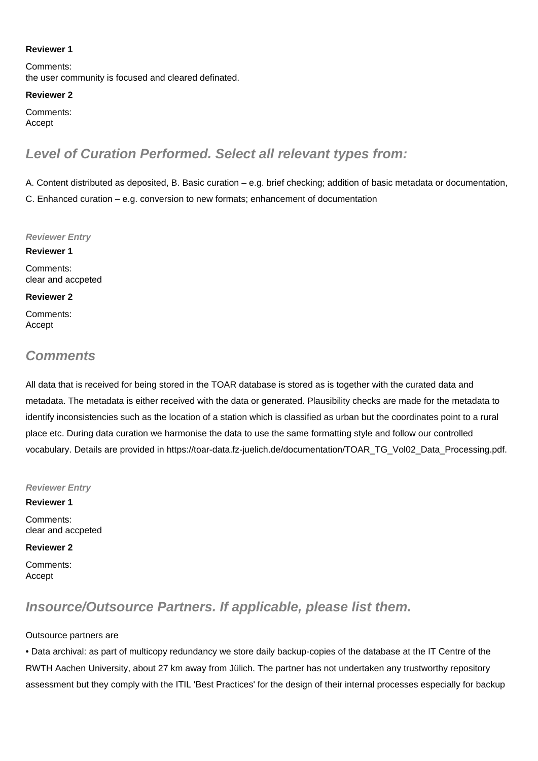### **Reviewer 1**

Comments: the user community is focused and cleared definated.

#### **Reviewer 2**

Comments: Accept

### **Level of Curation Performed. Select all relevant types from:**

A. Content distributed as deposited, B. Basic curation – e.g. brief checking; addition of basic metadata or documentation, C. Enhanced curation – e.g. conversion to new formats; enhancement of documentation

#### **Reviewer Entry**

**Reviewer 1** Comments: clear and accpeted

#### **Reviewer 2**

Comments: Accept

### **Comments**

All data that is received for being stored in the TOAR database is stored as is together with the curated data and metadata. The metadata is either received with the data or generated. Plausibility checks are made for the metadata to identify inconsistencies such as the location of a station which is classified as urban but the coordinates point to a rural place etc. During data curation we harmonise the data to use the same formatting style and follow our controlled vocabulary. Details are provided in [https://toar-data.fz-juelich.de/documentation/TOAR\\_TG\\_Vol02\\_Data\\_Processing.pdf.](https://toar-data.fz-juelich.de/documentation/TOAR_TG_Vol02_Data_Processing.pdf.)

### **Reviewer Entry**

**Reviewer 1** Comments: clear and accpeted

### **Reviewer 2**

Comments: Accept

### **Insource/Outsource Partners. If applicable, please list them.**

### Outsource partners are

• Data archival: as part of multicopy redundancy we store daily backup-copies of the database at the IT Centre of the RWTH Aachen University, about 27 km away from Jülich. The partner has not undertaken any trustworthy repository assessment but they comply with the ITIL 'Best Practices' for the design of their internal processes especially for backup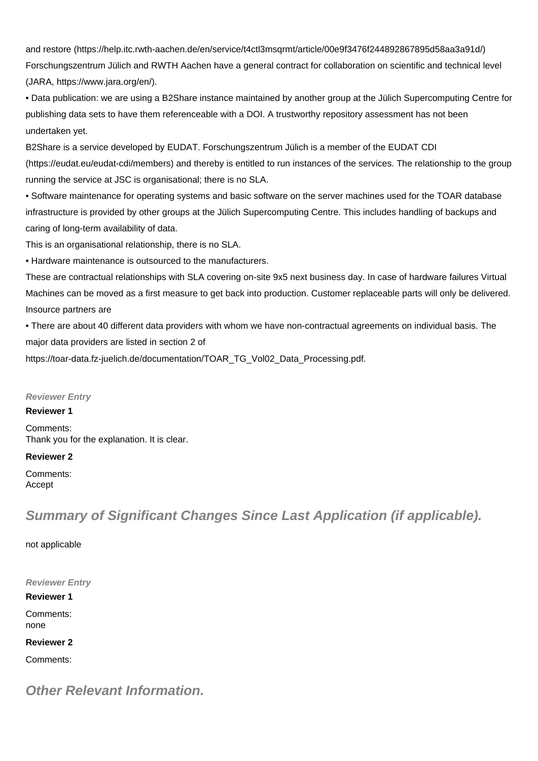and restore [\(https://help.itc.rwth-aachen.de/en/service/t4ctl3msqrmt/article/00e9f3476f244892867895d58aa3a91d/](https://help.itc.rwth-aachen.de/en/service/t4ctl3msqrmt/article/00e9f3476f244892867895d58aa3a91d/)) Forschungszentrum Jülich and RWTH Aachen have a general contract for collaboration on scientific and technical level (JARA, [https://www.jara.org/en/\)](https://www.jara.org/en/).

• Data publication: we are using a B2Share instance maintained by another group at the Jülich Supercomputing Centre for publishing data sets to have them referenceable with a DOI. A trustworthy repository assessment has not been undertaken yet.

B2Share is a service developed by EUDAT. Forschungszentrum Jülich is a member of the EUDAT CDI ([https://eudat.eu/eudat-cdi/members\)](https://eudat.eu/eudat-cdi/members) and thereby is entitled to run instances of the services. The relationship to the group running the service at JSC is organisational; there is no SLA.

• Software maintenance for operating systems and basic software on the server machines used for the TOAR database infrastructure is provided by other groups at the Jülich Supercomputing Centre. This includes handling of backups and caring of long-term availability of data.

This is an organisational relationship, there is no SLA.

• Hardware maintenance is outsourced to the manufacturers.

These are contractual relationships with SLA covering on-site 9x5 next business day. In case of hardware failures Virtual Machines can be moved as a first measure to get back into production. Customer replaceable parts will only be delivered. Insource partners are

• There are about 40 different data providers with whom we have non-contractual agreements on individual basis. The major data providers are listed in section 2 of

[https://toar-data.fz-juelich.de/documentation/TOAR\\_TG\\_Vol02\\_Data\\_Processing.pdf.](https://toar-data.fz-juelich.de/documentation/TOAR_TG_Vol02_Data_Processing.pdf.)

### **Reviewer Entry**

### **Reviewer 1**

Comments: Thank you for the explanation. It is clear.

### **Reviewer 2**

Comments: Accept

### **Summary of Significant Changes Since Last Application (if applicable).**

not applicable

**Reviewer Entry**

**Reviewer 1** Comments: none

**Reviewer 2**

Comments:

**Other Relevant Information.**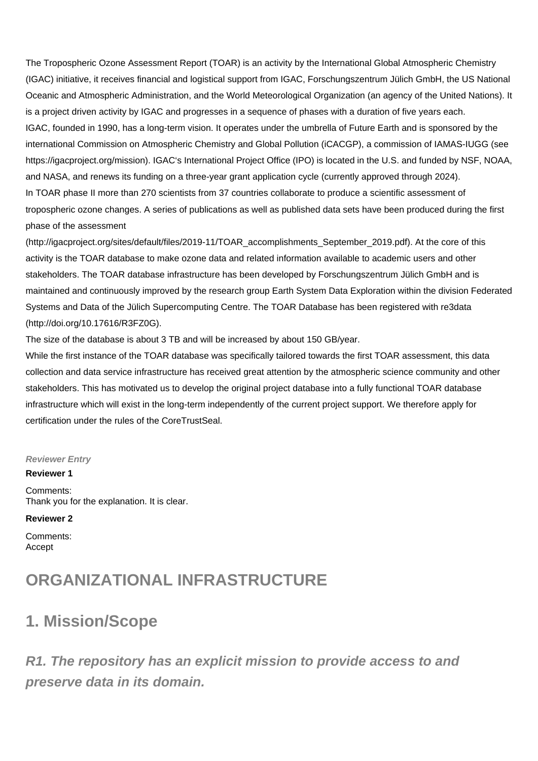The Tropospheric Ozone Assessment Report (TOAR) is an activity by the International Global Atmospheric Chemistry (IGAC) initiative, it receives financial and logistical support from IGAC, Forschungszentrum Jülich GmbH, the US National Oceanic and Atmospheric Administration, and the World Meteorological Organization (an agency of the United Nations). It is a project driven activity by IGAC and progresses in a sequence of phases with a duration of five years each. IGAC, founded in 1990, has a long-term vision. It operates under the umbrella of Future Earth and is sponsored by the international Commission on Atmospheric Chemistry and Global Pollution (iCACGP), a commission of IAMAS-IUGG (see [https://igacproject.org/mission\)](https://igacproject.org/mission). IGAC's International Project Office (IPO) is located in the U.S. and funded by NSF, NOAA, and NASA, and renews its funding on a three-year grant application cycle (currently approved through 2024). In TOAR phase II more than 270 scientists from 37 countries collaborate to produce a scientific assessment of tropospheric ozone changes. A series of publications as well as published data sets have been produced during the first phase of the assessment

([http://igacproject.org/sites/default/files/2019-11/TOAR\\_accomplishments\\_September\\_2019.pdf\)](http://igacproject.org/sites/default/files/2019-11/TOAR_accomplishments_September_2019.pdf). At the core of this activity is the TOAR database to make ozone data and related information available to academic users and other stakeholders. The TOAR database infrastructure has been developed by Forschungszentrum Jülich GmbH and is maintained and continuously improved by the research group Earth System Data Exploration within the division Federated Systems and Data of the Jülich Supercomputing Centre. The TOAR Database has been registered with re3data ([http://doi.org/10.17616/R3FZ0G\)](http://doi.org/10.17616/R3FZ0G).

The size of the database is about 3 TB and will be increased by about 150 GB/year.

While the first instance of the TOAR database was specifically tailored towards the first TOAR assessment, this data collection and data service infrastructure has received great attention by the atmospheric science community and other stakeholders. This has motivated us to develop the original project database into a fully functional TOAR database infrastructure which will exist in the long-term independently of the current project support. We therefore apply for certification under the rules of the CoreTrustSeal.

#### **Reviewer Entry**

### **Reviewer 1**

Comments: Thank you for the explanation. It is clear.

#### **Reviewer 2**

Comments: Accept

## **ORGANIZATIONAL INFRASTRUCTURE**

## **1. Mission/Scope**

**R1. The repository has an explicit mission to provide access to and preserve data in its domain.**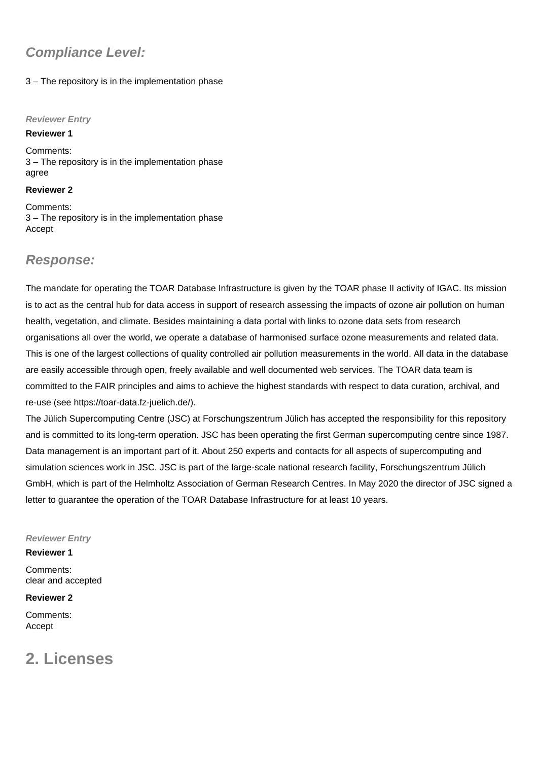### **Compliance Level:**

### 3 – The repository is in the implementation phase

#### **Reviewer Entry**

#### **Reviewer 1**

Comments: 3 – The repository is in the implementation phase agree

### **Reviewer 2**

Comments: 3 – The repository is in the implementation phase Accept

### **Response:**

The mandate for operating the TOAR Database Infrastructure is given by the TOAR phase II activity of IGAC. Its mission is to act as the central hub for data access in support of research assessing the impacts of ozone air pollution on human health, vegetation, and climate. Besides maintaining a data portal with links to ozone data sets from research organisations all over the world, we operate a database of harmonised surface ozone measurements and related data. This is one of the largest collections of quality controlled air pollution measurements in the world. All data in the database are easily accessible through open, freely available and well documented web services. The TOAR data team is committed to the FAIR principles and aims to achieve the highest standards with respect to data curation, archival, and re-use (see [https://toar-data.fz-juelich.de/\)](https://toar-data.fz-juelich.de/).

The Jülich Supercomputing Centre (JSC) at Forschungszentrum Jülich has accepted the responsibility for this repository and is committed to its long-term operation. JSC has been operating the first German supercomputing centre since 1987. Data management is an important part of it. About 250 experts and contacts for all aspects of supercomputing and simulation sciences work in JSC. JSC is part of the large-scale national research facility, Forschungszentrum Jülich GmbH, which is part of the Helmholtz Association of German Research Centres. In May 2020 the director of JSC signed a letter to guarantee the operation of the TOAR Database Infrastructure for at least 10 years.

### **Reviewer Entry**

#### **Reviewer 1**

Comments: clear and accepted

### **Reviewer 2**

Comments: Accept

## **2. Licenses**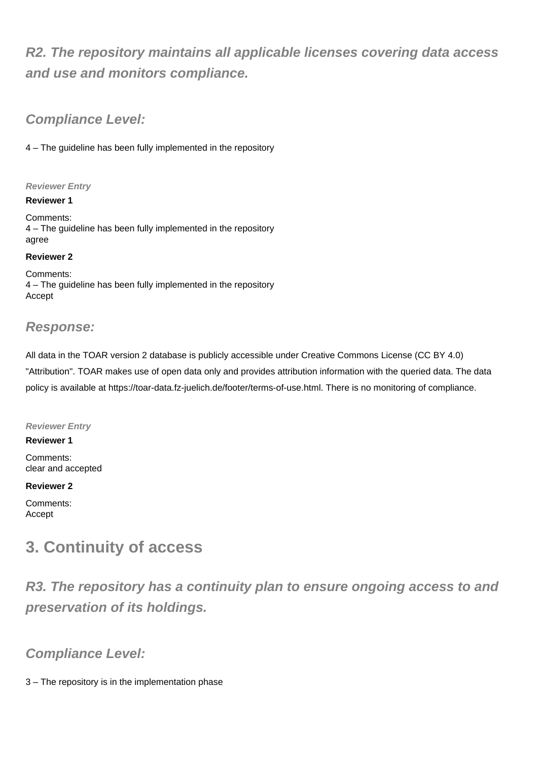## **R2. The repository maintains all applicable licenses covering data access and use and monitors compliance.**

### **Compliance Level:**

4 – The guideline has been fully implemented in the repository

### **Reviewer Entry**

### **Reviewer 1**

Comments: 4 – The guideline has been fully implemented in the repository agree

### **Reviewer 2**

Comments: 4 – The guideline has been fully implemented in the repository Accept

### **Response:**

All data in the TOAR version 2 database is publicly accessible under Creative Commons License (CC BY 4.0) "Attribution". TOAR makes use of open data only and provides attribution information with the queried data. The data policy is available at<https://toar-data.fz-juelich.de/footer/terms-of-use.html.>There is no monitoring of compliance.

### **Reviewer Entry**

**Reviewer 1** Comments: clear and accepted

### **Reviewer 2**

Comments: Accept

## **3. Continuity of access**

**R3. The repository has a continuity plan to ensure ongoing access to and preservation of its holdings.**

### **Compliance Level:**

3 – The repository is in the implementation phase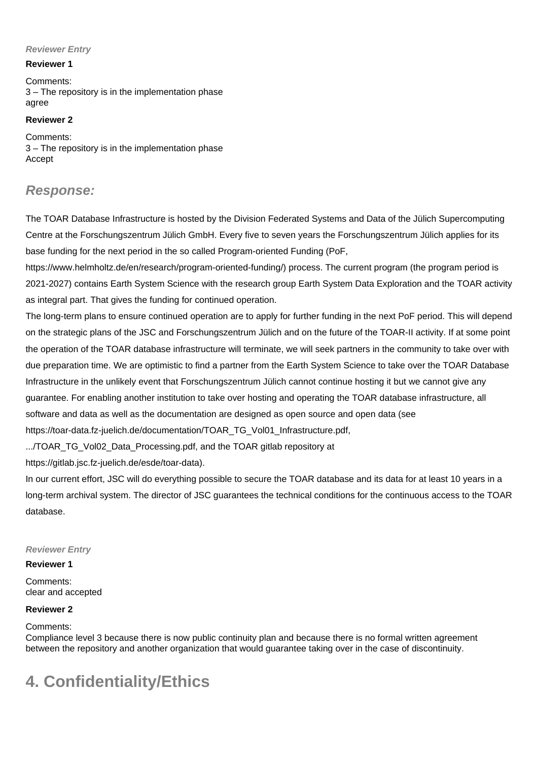### **Reviewer Entry**

### **Reviewer 1**

Comments: 3 – The repository is in the implementation phase agree

### **Reviewer 2**

Comments: 3 – The repository is in the implementation phase Accept

### **Response:**

The TOAR Database Infrastructure is hosted by the Division Federated Systems and Data of the Jülich Supercomputing Centre at the Forschungszentrum Jülich GmbH. Every five to seven years the Forschungszentrum Jülich applies for its base funding for the next period in the so called Program-oriented Funding (PoF,

<https://www.helmholtz.de/en/research/program-oriented-funding/>) process. The current program (the program period is 2021-2027) contains Earth System Science with the research group Earth System Data Exploration and the TOAR activity as integral part. That gives the funding for continued operation.

The long-term plans to ensure continued operation are to apply for further funding in the next PoF period. This will depend on the strategic plans of the JSC and Forschungszentrum Jülich and on the future of the TOAR-II activity. If at some point the operation of the TOAR database infrastructure will terminate, we will seek partners in the community to take over with due preparation time. We are optimistic to find a partner from the Earth System Science to take over the TOAR Database Infrastructure in the unlikely event that Forschungszentrum Jülich cannot continue hosting it but we cannot give any guarantee. For enabling another institution to take over hosting and operating the TOAR database infrastructure, all software and data as well as the documentation are designed as open source and open data (see [https://toar-data.fz-juelich.de/documentation/TOAR\\_TG\\_Vol01\\_Infrastructure.pdf,](https://toar-data.fz-juelich.de/documentation/TOAR_TG_Vol01_Infrastructure.pdf,)

.../TOAR\_TG\_Vol02\_Data\_Processing.pdf, and the TOAR gitlab repository at

[https://gitlab.jsc.fz-juelich.de/esde/toar-data\)](https://gitlab.jsc.fz-juelich.de/esde/toar-data).

In our current effort, JSC will do everything possible to secure the TOAR database and its data for at least 10 years in a long-term archival system. The director of JSC guarantees the technical conditions for the continuous access to the TOAR database.

### **Reviewer Entry**

### **Reviewer 1**

Comments: clear and accepted

### **Reviewer 2**

Comments:

Compliance level 3 because there is now public continuity plan and because there is no formal written agreement between the repository and another organization that would guarantee taking over in the case of discontinuity.

## **4. Confidentiality/Ethics**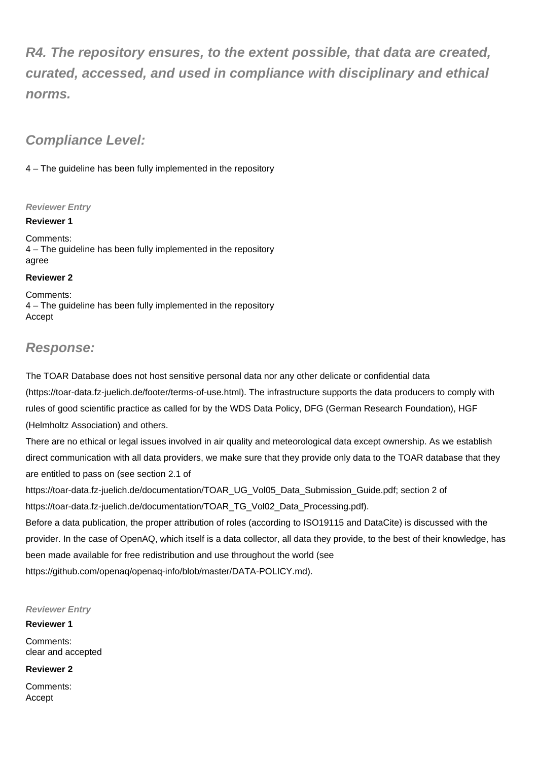**R4. The repository ensures, to the extent possible, that data are created, curated, accessed, and used in compliance with disciplinary and ethical norms.**

### **Compliance Level:**

4 – The guideline has been fully implemented in the repository

### **Reviewer Entry**

**Reviewer 1**

Comments: 4 – The guideline has been fully implemented in the repository agree

### **Reviewer 2**

Comments: 4 – The guideline has been fully implemented in the repository Accept

### **Response:**

The TOAR Database does not host sensitive personal data nor any other delicate or confidential data ([https://toar-data.fz-juelich.de/footer/terms-of-use.html\)](https://toar-data.fz-juelich.de/footer/terms-of-use.html). The infrastructure supports the data producers to comply with rules of good scientific practice as called for by the WDS Data Policy, DFG (German Research Foundation), HGF (Helmholtz Association) and others.

There are no ethical or legal issues involved in air quality and meteorological data except ownership. As we establish direct communication with all data providers, we make sure that they provide only data to the TOAR database that they are entitled to pass on (see section 2.1 of

[https://toar-data.fz-juelich.de/documentation/TOAR\\_UG\\_Vol05\\_Data\\_Submission\\_Guide.pdf;](https://toar-data.fz-juelich.de/documentation/TOAR_UG_Vol05_Data_Submission_Guide.pdf;) section 2 of [https://toar-data.fz-juelich.de/documentation/TOAR\\_TG\\_Vol02\\_Data\\_Processing.pdf](https://toar-data.fz-juelich.de/documentation/TOAR_TG_Vol02_Data_Processing.pdf)).

Before a data publication, the proper attribution of roles (according to ISO19115 and DataCite) is discussed with the provider. In the case of OpenAQ, which itself is a data collector, all data they provide, to the best of their knowledge, has been made available for free redistribution and use throughout the world (see <https://github.com/openaq/openaq-info/blob/master/DATA-POLICY.md>).

**Reviewer Entry**

**Reviewer 1**

Comments: clear and accepted

**Reviewer 2**

Comments: Accept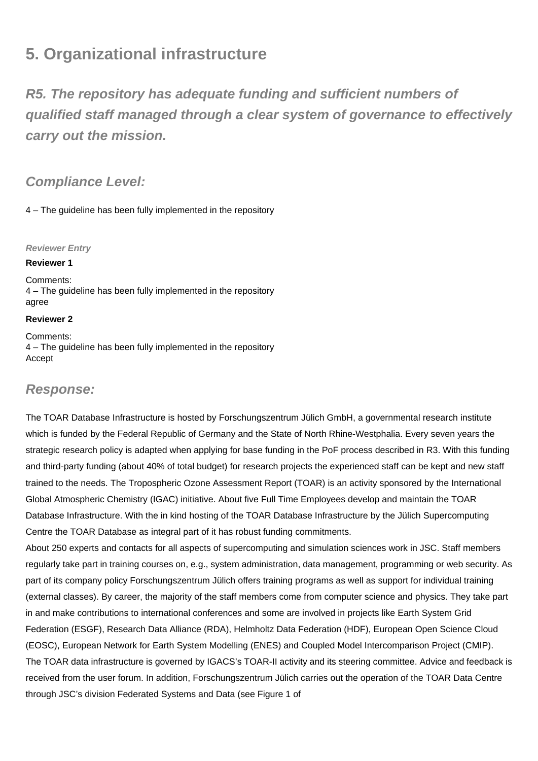## **5. Organizational infrastructure**

**R5. The repository has adequate funding and sufficient numbers of qualified staff managed through a clear system of governance to effectively carry out the mission.**

### **Compliance Level:**

4 – The guideline has been fully implemented in the repository

### **Reviewer Entry**

### **Reviewer 1**

Comments: 4 – The guideline has been fully implemented in the repository agree

### **Reviewer 2**

Comments: 4 – The guideline has been fully implemented in the repository Accept

### **Response:**

The TOAR Database Infrastructure is hosted by Forschungszentrum Jülich GmbH, a governmental research institute which is funded by the Federal Republic of Germany and the State of North Rhine-Westphalia. Every seven years the strategic research policy is adapted when applying for base funding in the PoF process described in R3. With this funding and third-party funding (about 40% of total budget) for research projects the experienced staff can be kept and new staff trained to the needs. The Tropospheric Ozone Assessment Report (TOAR) is an activity sponsored by the International Global Atmospheric Chemistry (IGAC) initiative. About five Full Time Employees develop and maintain the TOAR Database Infrastructure. With the in kind hosting of the TOAR Database Infrastructure by the Jülich Supercomputing Centre the TOAR Database as integral part of it has robust funding commitments.

About 250 experts and contacts for all aspects of supercomputing and simulation sciences work in JSC. Staff members regularly take part in training courses on, e.g., system administration, data management, programming or web security. As part of its company policy Forschungszentrum Jülich offers training programs as well as support for individual training (external classes). By career, the majority of the staff members come from computer science and physics. They take part in and make contributions to international conferences and some are involved in projects like Earth System Grid Federation (ESGF), Research Data Alliance (RDA), Helmholtz Data Federation (HDF), European Open Science Cloud (EOSC), European Network for Earth System Modelling (ENES) and Coupled Model Intercomparison Project (CMIP). The TOAR data infrastructure is governed by IGACS's TOAR-II activity and its steering committee. Advice and feedback is received from the user forum. In addition, Forschungszentrum Jülich carries out the operation of the TOAR Data Centre through JSC's division Federated Systems and Data (see Figure 1 of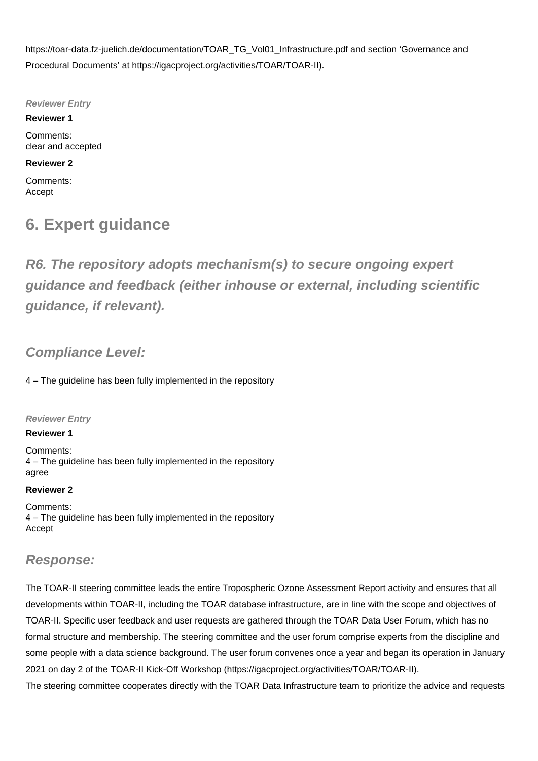[https://toar-data.fz-juelich.de/documentation/TOAR\\_TG\\_Vol01\\_Infrastructure.pdf](https://toar-data.fz-juelich.de/documentation/TOAR_TG_Vol01_Infrastructure.pdf) and section 'Governance and Procedural Documents' at [https://igacproject.org/activities/TOAR/TOAR-II\)](https://igacproject.org/activities/TOAR/TOAR-II).

**Reviewer Entry**

**Reviewer 1** Comments: clear and accepted

### **Reviewer 2**

Comments: Accept

## **6. Expert guidance**

**R6. The repository adopts mechanism(s) to secure ongoing expert guidance and feedback (either inhouse or external, including scientific guidance, if relevant).**

### **Compliance Level:**

4 – The guideline has been fully implemented in the repository

**Reviewer Entry**

### **Reviewer 1**

Comments: 4 – The guideline has been fully implemented in the repository agree

### **Reviewer 2**

Comments: 4 – The guideline has been fully implemented in the repository Accept

### **Response:**

The TOAR-II steering committee leads the entire Tropospheric Ozone Assessment Report activity and ensures that all developments within TOAR-II, including the TOAR database infrastructure, are in line with the scope and objectives of TOAR-II. Specific user feedback and user requests are gathered through the TOAR Data User Forum, which has no formal structure and membership. The steering committee and the user forum comprise experts from the discipline and some people with a data science background. The user forum convenes once a year and began its operation in January 2021 on day 2 of the TOAR-II Kick-Off Workshop [\(https://igacproject.org/activities/TOAR/TOAR-II\)](https://igacproject.org/activities/TOAR/TOAR-II).

The steering committee cooperates directly with the TOAR Data Infrastructure team to prioritize the advice and requests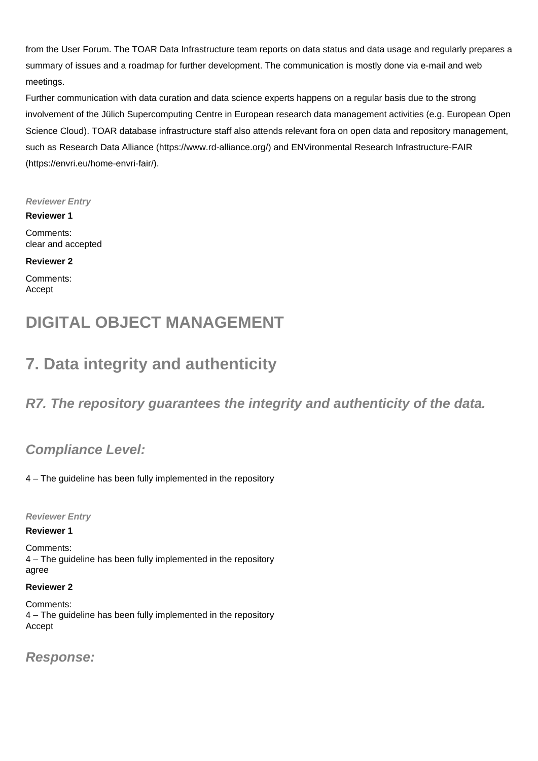from the User Forum. The TOAR Data Infrastructure team reports on data status and data usage and regularly prepares a summary of issues and a roadmap for further development. The communication is mostly done via e-mail and web meetings.

Further communication with data curation and data science experts happens on a regular basis due to the strong involvement of the Jülich Supercomputing Centre in European research data management activities (e.g. European Open Science Cloud). TOAR database infrastructure staff also attends relevant fora on open data and repository management, such as Research Data Alliance [\(https://www.rd-alliance.org/\)](https://www.rd-alliance.org/) and ENVironmental Research Infrastructure-FAIR (<https://envri.eu/home-envri-fair/>).

### **Reviewer Entry**

**Reviewer 1**

Comments: clear and accepted

### **Reviewer 2**

Comments: Accept

## **DIGITAL OBJECT MANAGEMENT**

## **7. Data integrity and authenticity**

**R7. The repository guarantees the integrity and authenticity of the data.**

### **Compliance Level:**

4 – The guideline has been fully implemented in the repository

**Reviewer Entry**

### **Reviewer 1**

Comments: 4 – The guideline has been fully implemented in the repository agree

### **Reviewer 2**

Comments: 4 – The guideline has been fully implemented in the repository Accept

**Response:**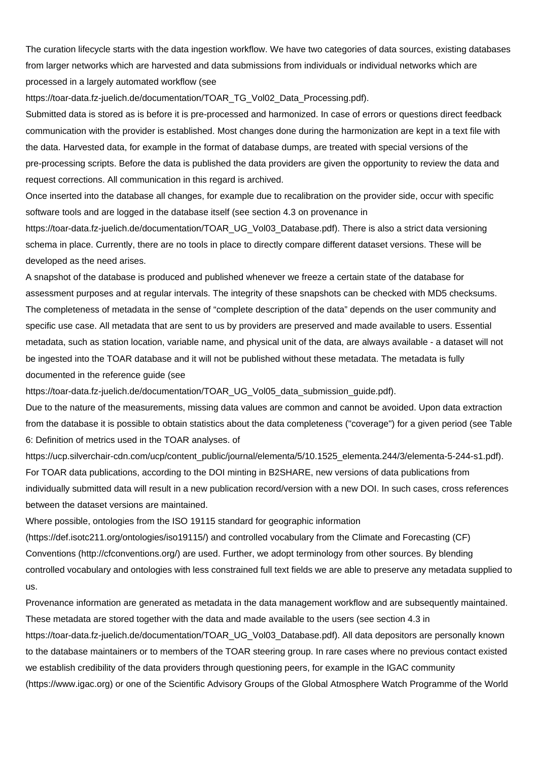The curation lifecycle starts with the data ingestion workflow. We have two categories of data sources, existing databases from larger networks which are harvested and data submissions from individuals or individual networks which are processed in a largely automated workflow (see

[https://toar-data.fz-juelich.de/documentation/TOAR\\_TG\\_Vol02\\_Data\\_Processing.pdf](https://toar-data.fz-juelich.de/documentation/TOAR_TG_Vol02_Data_Processing.pdf)).

Submitted data is stored as is before it is pre-processed and harmonized. In case of errors or questions direct feedback communication with the provider is established. Most changes done during the harmonization are kept in a text file with the data. Harvested data, for example in the format of database dumps, are treated with special versions of the pre-processing scripts. Before the data is published the data providers are given the opportunity to review the data and request corrections. All communication in this regard is archived.

Once inserted into the database all changes, for example due to recalibration on the provider side, occur with specific software tools and are logged in the database itself (see section 4.3 on provenance in

[https://toar-data.fz-juelich.de/documentation/TOAR\\_UG\\_Vol03\\_Database.pdf](https://toar-data.fz-juelich.de/documentation/TOAR_UG_Vol03_Database.pdf)). There is also a strict data versioning schema in place. Currently, there are no tools in place to directly compare different dataset versions. These will be developed as the need arises.

A snapshot of the database is produced and published whenever we freeze a certain state of the database for assessment purposes and at regular intervals. The integrity of these snapshots can be checked with MD5 checksums. The completeness of metadata in the sense of "complete description of the data" depends on the user community and specific use case. All metadata that are sent to us by providers are preserved and made available to users. Essential metadata, such as station location, variable name, and physical unit of the data, are always available - a dataset will not be ingested into the TOAR database and it will not be published without these metadata. The metadata is fully documented in the reference guide (see

[https://toar-data.fz-juelich.de/documentation/TOAR\\_UG\\_Vol05\\_data\\_submission\\_guide.pdf](https://toar-data.fz-juelich.de/documentation/TOAR_UG_Vol05_data_submission_guide.pdf)).

Due to the nature of the measurements, missing data values are common and cannot be avoided. Upon data extraction from the database it is possible to obtain statistics about the data completeness ("coverage") for a given period (see Table 6: Definition of metrics used in the TOAR analyses. of

[https://ucp.silverchair-cdn.com/ucp/content\\_public/journal/elementa/5/10.1525\\_elementa.244/3/elementa-5-244-s1.pdf](https://ucp.silverchair-cdn.com/ucp/content_public/journal/elementa/5/10.1525_elementa.244/3/elementa-5-244-s1.pdf)). For TOAR data publications, according to the DOI minting in B2SHARE, new versions of data publications from individually submitted data will result in a new publication record/version with a new DOI. In such cases, cross references between the dataset versions are maintained.

Where possible, ontologies from the ISO 19115 standard for geographic information

(<https://def.isotc211.org/ontologies/iso19115/>) and controlled vocabulary from the Climate and Forecasting (CF) Conventions [\(http://cfconventions.org/](http://cfconventions.org/)) are used. Further, we adopt terminology from other sources. By blending controlled vocabulary and ontologies with less constrained full text fields we are able to preserve any metadata supplied to us.

Provenance information are generated as metadata in the data management workflow and are subsequently maintained. These metadata are stored together with the data and made available to the users (see section 4.3 in [https://toar-data.fz-juelich.de/documentation/TOAR\\_UG\\_Vol03\\_Database.pdf](https://toar-data.fz-juelich.de/documentation/TOAR_UG_Vol03_Database.pdf)). All data depositors are personally known to the database maintainers or to members of the TOAR steering group. In rare cases where no previous contact existed we establish credibility of the data providers through questioning peers, for example in the IGAC community ([https://www.igac.org\)](https://www.igac.org) or one of the Scientific Advisory Groups of the Global Atmosphere Watch Programme of the World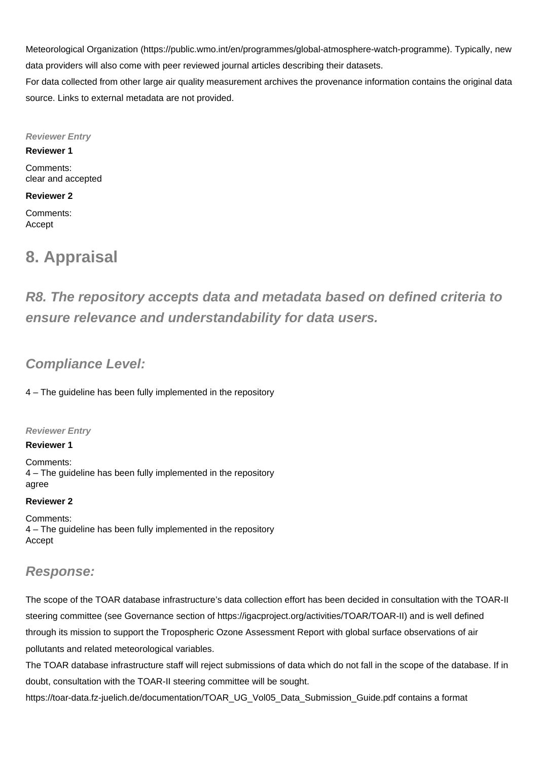Meteorological Organization ([https://public.wmo.int/en/programmes/global-atmosphere-watch-programme\)](https://public.wmo.int/en/programmes/global-atmosphere-watch-programme). Typically, new data providers will also come with peer reviewed journal articles describing their datasets. For data collected from other large air quality measurement archives the provenance information contains the original data

**Reviewer Entry**

source. Links to external metadata are not provided.

**Reviewer 1**

Comments: clear and accepted

### **Reviewer 2**

Comments: Accept

## **8. Appraisal**

**R8. The repository accepts data and metadata based on defined criteria to ensure relevance and understandability for data users.**

### **Compliance Level:**

4 – The guideline has been fully implemented in the repository

### **Reviewer Entry**

**Reviewer 1**

Comments: 4 – The guideline has been fully implemented in the repository agree

### **Reviewer 2**

Comments: 4 – The guideline has been fully implemented in the repository Accept

### **Response:**

The scope of the TOAR database infrastructure's data collection effort has been decided in consultation with the TOAR-II steering committee (see Governance section of <https://igacproject.org/activities/TOAR/TOAR-II>) and is well defined through its mission to support the Tropospheric Ozone Assessment Report with global surface observations of air pollutants and related meteorological variables.

The TOAR database infrastructure staff will reject submissions of data which do not fall in the scope of the database. If in doubt, consultation with the TOAR-II steering committee will be sought.

[https://toar-data.fz-juelich.de/documentation/TOAR\\_UG\\_Vol05\\_Data\\_Submission\\_Guide.pdf](https://toar-data.fz-juelich.de/documentation/TOAR_UG_Vol05_Data_Submission_Guide.pdf) contains a format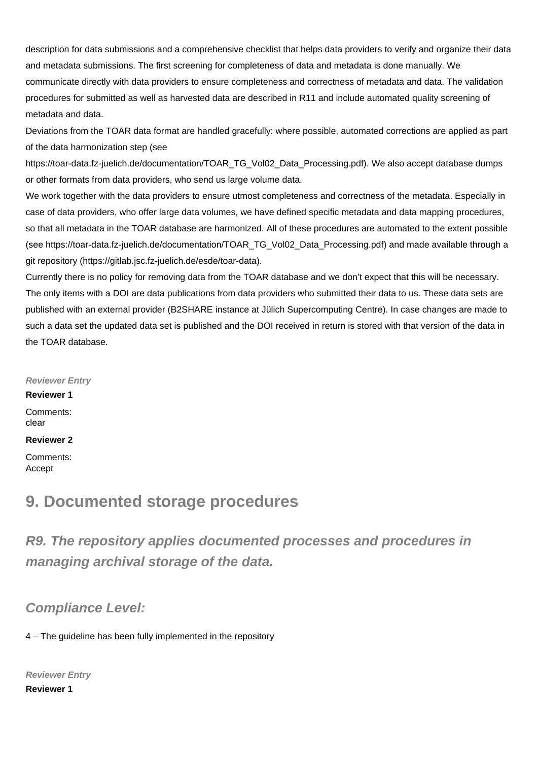description for data submissions and a comprehensive checklist that helps data providers to verify and organize their data and metadata submissions. The first screening for completeness of data and metadata is done manually. We communicate directly with data providers to ensure completeness and correctness of metadata and data. The validation procedures for submitted as well as harvested data are described in R11 and include automated quality screening of metadata and data.

Deviations from the TOAR data format are handled gracefully: where possible, automated corrections are applied as part of the data harmonization step (see

[https://toar-data.fz-juelich.de/documentation/TOAR\\_TG\\_Vol02\\_Data\\_Processing.pdf](https://toar-data.fz-juelich.de/documentation/TOAR_TG_Vol02_Data_Processing.pdf)). We also accept database dumps or other formats from data providers, who send us large volume data.

We work together with the data providers to ensure utmost completeness and correctness of the metadata. Especially in case of data providers, who offer large data volumes, we have defined specific metadata and data mapping procedures, so that all metadata in the TOAR database are harmonized. All of these procedures are automated to the extent possible (see [https://toar-data.fz-juelich.de/documentation/TOAR\\_TG\\_Vol02\\_Data\\_Processing.pdf\)](https://toar-data.fz-juelich.de/documentation/TOAR_TG_Vol02_Data_Processing.pdf) and made available through a git repository (<https://gitlab.jsc.fz-juelich.de/esde/toar-data>).

Currently there is no policy for removing data from the TOAR database and we don't expect that this will be necessary. The only items with a DOI are data publications from data providers who submitted their data to us. These data sets are published with an external provider (B2SHARE instance at Jülich Supercomputing Centre). In case changes are made to such a data set the updated data set is published and the DOI received in return is stored with that version of the data in the TOAR database.

#### **Reviewer Entry**

#### **Reviewer 1**

Comments: clear

### **Reviewer 2**

Comments: Accept

### **9. Documented storage procedures**

**R9. The repository applies documented processes and procedures in managing archival storage of the data.**

### **Compliance Level:**

4 – The guideline has been fully implemented in the repository

**Reviewer Entry**

**Reviewer 1**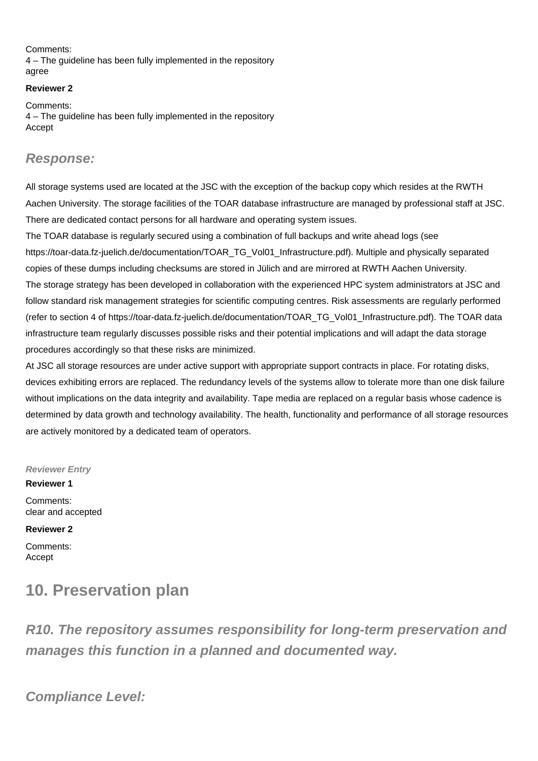Comments: 4 – The guideline has been fully implemented in the repository agree

### **Reviewer 2**

Comments: 4 – The guideline has been fully implemented in the repository Accept

### **Response:**

All storage systems used are located at the JSC with the exception of the backup copy which resides at the RWTH Aachen University. The storage facilities of the TOAR database infrastructure are managed by professional staff at JSC. There are dedicated contact persons for all hardware and operating system issues.

The TOAR database is regularly secured using a combination of full backups and write ahead logs (see [https://toar-data.fz-juelich.de/documentation/TOAR\\_TG\\_Vol01\\_Infrastructure.pdf](https://toar-data.fz-juelich.de/documentation/TOAR_TG_Vol01_Infrastructure.pdf)). Multiple and physically separated copies of these dumps including checksums are stored in Jülich and are mirrored at RWTH Aachen University. The storage strategy has been developed in collaboration with the experienced HPC system administrators at JSC and follow standard risk management strategies for scientific computing centres. Risk assessments are regularly performed (refer to section 4 of [https://toar-data.fz-juelich.de/documentation/TOAR\\_TG\\_Vol01\\_Infrastructure.pdf\)](https://toar-data.fz-juelich.de/documentation/TOAR_TG_Vol01_Infrastructure.pdf). The TOAR data infrastructure team regularly discusses possible risks and their potential implications and will adapt the data storage procedures accordingly so that these risks are minimized.

At JSC all storage resources are under active support with appropriate support contracts in place. For rotating disks, devices exhibiting errors are replaced. The redundancy levels of the systems allow to tolerate more than one disk failure without implications on the data integrity and availability. Tape media are replaced on a regular basis whose cadence is determined by data growth and technology availability. The health, functionality and performance of all storage resources are actively monitored by a dedicated team of operators.

**Reviewer Entry**

Comments: clear and accepted

**Reviewer 2**

**Reviewer 1**

Comments: Accept

## **10. Preservation plan**

**R10. The repository assumes responsibility for long-term preservation and manages this function in a planned and documented way.**

**Compliance Level:**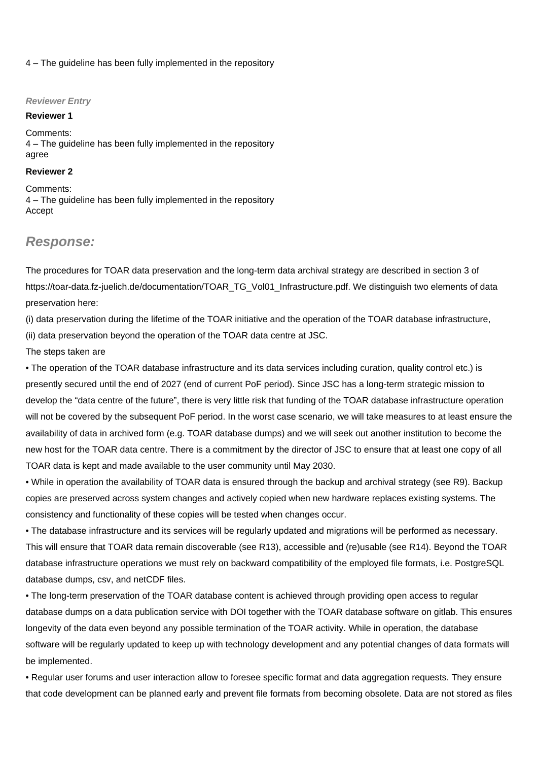#### 4 – The guideline has been fully implemented in the repository

#### **Reviewer Entry**

#### **Reviewer 1**

Comments: 4 – The guideline has been fully implemented in the repository agree

#### **Reviewer 2**

Comments: 4 – The guideline has been fully implemented in the repository Accept

### **Response:**

The procedures for TOAR data preservation and the long-term data archival strategy are described in section 3 of [https://toar-data.fz-juelich.de/documentation/TOAR\\_TG\\_Vol01\\_Infrastructure.pdf.](https://toar-data.fz-juelich.de/documentation/TOAR_TG_Vol01_Infrastructure.pdf.) We distinguish two elements of data preservation here:

(i) data preservation during the lifetime of the TOAR initiative and the operation of the TOAR database infrastructure, (ii) data preservation beyond the operation of the TOAR data centre at JSC.

#### The steps taken are

• The operation of the TOAR database infrastructure and its data services including curation, quality control etc.) is presently secured until the end of 2027 (end of current PoF period). Since JSC has a long-term strategic mission to develop the "data centre of the future", there is very little risk that funding of the TOAR database infrastructure operation will not be covered by the subsequent PoF period. In the worst case scenario, we will take measures to at least ensure the availability of data in archived form (e.g. TOAR database dumps) and we will seek out another institution to become the new host for the TOAR data centre. There is a commitment by the director of JSC to ensure that at least one copy of all TOAR data is kept and made available to the user community until May 2030.

• While in operation the availability of TOAR data is ensured through the backup and archival strategy (see R9). Backup copies are preserved across system changes and actively copied when new hardware replaces existing systems. The consistency and functionality of these copies will be tested when changes occur.

• The database infrastructure and its services will be regularly updated and migrations will be performed as necessary. This will ensure that TOAR data remain discoverable (see R13), accessible and (re)usable (see R14). Beyond the TOAR database infrastructure operations we must rely on backward compatibility of the employed file formats, i.e. PostgreSQL database dumps, csv, and netCDF files.

• The long-term preservation of the TOAR database content is achieved through providing open access to regular database dumps on a data publication service with DOI together with the TOAR database software on gitlab. This ensures longevity of the data even beyond any possible termination of the TOAR activity. While in operation, the database software will be regularly updated to keep up with technology development and any potential changes of data formats will be implemented.

• Regular user forums and user interaction allow to foresee specific format and data aggregation requests. They ensure that code development can be planned early and prevent file formats from becoming obsolete. Data are not stored as files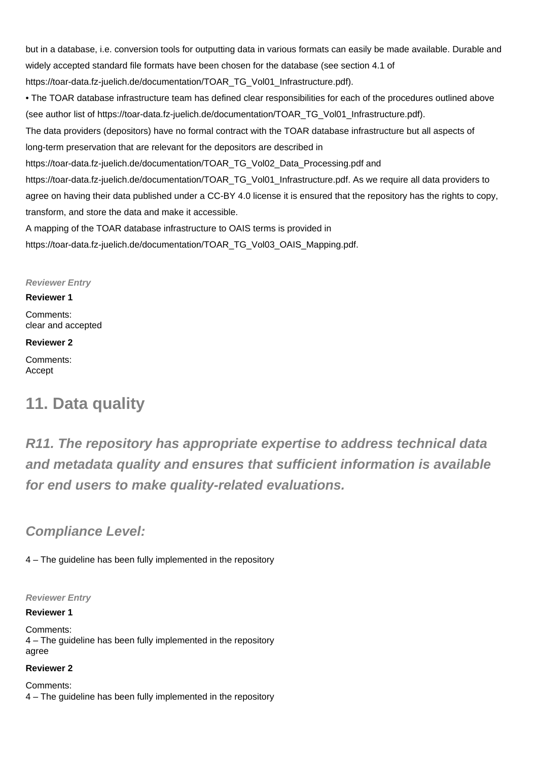but in a database, i.e. conversion tools for outputting data in various formats can easily be made available. Durable and widely accepted standard file formats have been chosen for the database (see section 4.1 of [https://toar-data.fz-juelich.de/documentation/TOAR\\_TG\\_Vol01\\_Infrastructure.pdf](https://toar-data.fz-juelich.de/documentation/TOAR_TG_Vol01_Infrastructure.pdf)). • The TOAR database infrastructure team has defined clear responsibilities for each of the procedures outlined above (see author list of [https://toar-data.fz-juelich.de/documentation/TOAR\\_TG\\_Vol01\\_Infrastructure.pdf\)](https://toar-data.fz-juelich.de/documentation/TOAR_TG_Vol01_Infrastructure.pdf). The data providers (depositors) have no formal contract with the TOAR database infrastructure but all aspects of long-term preservation that are relevant for the depositors are described in [https://toar-data.fz-juelich.de/documentation/TOAR\\_TG\\_Vol02\\_Data\\_Processing.pdf](https://toar-data.fz-juelich.de/documentation/TOAR_TG_Vol02_Data_Processing.pdf) and [https://toar-data.fz-juelich.de/documentation/TOAR\\_TG\\_Vol01\\_Infrastructure.pdf.](https://toar-data.fz-juelich.de/documentation/TOAR_TG_Vol01_Infrastructure.pdf.) As we require all data providers to agree on having their data published under a CC-BY 4.0 license it is ensured that the repository has the rights to copy, transform, and store the data and make it accessible. A mapping of the TOAR database infrastructure to OAIS terms is provided in

[https://toar-data.fz-juelich.de/documentation/TOAR\\_TG\\_Vol03\\_OAIS\\_Mapping.pdf.](https://toar-data.fz-juelich.de/documentation/TOAR_TG_Vol03_OAIS_Mapping.pdf.)

### **Reviewer Entry**

### **Reviewer 1**

Comments: clear and accepted

### **Reviewer 2**

Comments: Accept

## **11. Data quality**

**R11. The repository has appropriate expertise to address technical data and metadata quality and ensures that sufficient information is available for end users to make quality-related evaluations.**

### **Compliance Level:**

4 – The guideline has been fully implemented in the repository

**Reviewer Entry**

### **Reviewer 1**

Comments: 4 – The guideline has been fully implemented in the repository agree

### **Reviewer 2**

Comments: 4 – The guideline has been fully implemented in the repository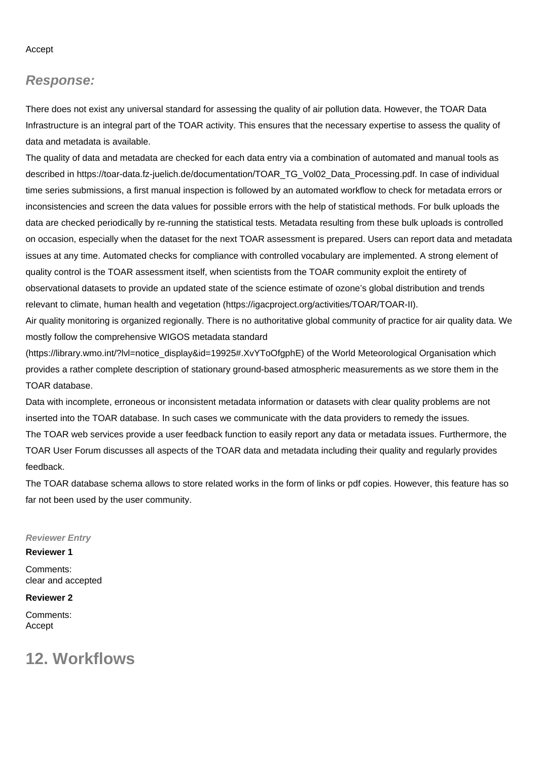Accept

### **Response:**

There does not exist any universal standard for assessing the quality of air pollution data. However, the TOAR Data Infrastructure is an integral part of the TOAR activity. This ensures that the necessary expertise to assess the quality of data and metadata is available.

The quality of data and metadata are checked for each data entry via a combination of automated and manual tools as described in [https://toar-data.fz-juelich.de/documentation/TOAR\\_TG\\_Vol02\\_Data\\_Processing.pdf.](https://toar-data.fz-juelich.de/documentation/TOAR_TG_Vol02_Data_Processing.pdf.) In case of individual time series submissions, a first manual inspection is followed by an automated workflow to check for metadata errors or inconsistencies and screen the data values for possible errors with the help of statistical methods. For bulk uploads the data are checked periodically by re-running the statistical tests. Metadata resulting from these bulk uploads is controlled on occasion, especially when the dataset for the next TOAR assessment is prepared. Users can report data and metadata issues at any time. Automated checks for compliance with controlled vocabulary are implemented. A strong element of quality control is the TOAR assessment itself, when scientists from the TOAR community exploit the entirety of observational datasets to provide an updated state of the science estimate of ozone's global distribution and trends relevant to climate, human health and vegetation [\(https://igacproject.org/activities/TOAR/TOAR-II\)](https://igacproject.org/activities/TOAR/TOAR-II).

Air quality monitoring is organized regionally. There is no authoritative global community of practice for air quality data. We mostly follow the comprehensive WIGOS metadata standard

([https://library.wmo.int/?lvl=notice\\_display&id=19925#.XvYToOfgphE](https://library.wmo.int/?lvl=notice_display&id=19925#.XvYToOfgphE)) of the World Meteorological Organisation which provides a rather complete description of stationary ground-based atmospheric measurements as we store them in the TOAR database.

Data with incomplete, erroneous or inconsistent metadata information or datasets with clear quality problems are not inserted into the TOAR database. In such cases we communicate with the data providers to remedy the issues. The TOAR web services provide a user feedback function to easily report any data or metadata issues. Furthermore, the TOAR User Forum discusses all aspects of the TOAR data and metadata including their quality and regularly provides feedback.

The TOAR database schema allows to store related works in the form of links or pdf copies. However, this feature has so far not been used by the user community.

#### **Reviewer Entry**

#### **Reviewer 1**

Comments: clear and accepted

### **Reviewer 2**

Comments: Accept

### **12. Workflows**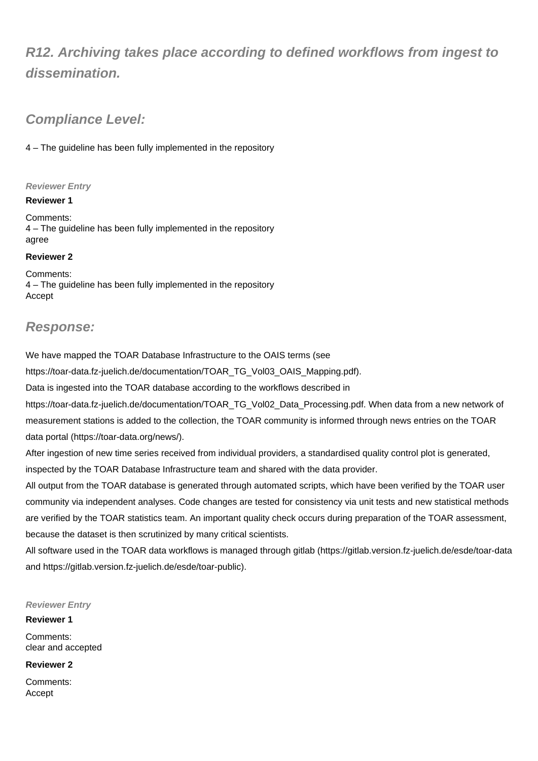## **R12. Archiving takes place according to defined workflows from ingest to dissemination.**

### **Compliance Level:**

4 – The guideline has been fully implemented in the repository

### **Reviewer Entry**

### **Reviewer 1**

Comments: 4 – The guideline has been fully implemented in the repository agree

### **Reviewer 2**

Comments: 4 – The guideline has been fully implemented in the repository Accept

### **Response:**

We have mapped the TOAR Database Infrastructure to the OAIS terms (see

[https://toar-data.fz-juelich.de/documentation/TOAR\\_TG\\_Vol03\\_OAIS\\_Mapping.pdf](https://toar-data.fz-juelich.de/documentation/TOAR_TG_Vol03_OAIS_Mapping.pdf)).

Data is ingested into the TOAR database according to the workflows described in

[https://toar-data.fz-juelich.de/documentation/TOAR\\_TG\\_Vol02\\_Data\\_Processing.pdf.](https://toar-data.fz-juelich.de/documentation/TOAR_TG_Vol02_Data_Processing.pdf.) When data from a new network of measurement stations is added to the collection, the TOAR community is informed through news entries on the TOAR data portal ([https://toar-data.org/news/\)](https://toar-data.org/news/).

After ingestion of new time series received from individual providers, a standardised quality control plot is generated,

inspected by the TOAR Database Infrastructure team and shared with the data provider.

All output from the TOAR database is generated through automated scripts, which have been verified by the TOAR user community via independent analyses. Code changes are tested for consistency via unit tests and new statistical methods are verified by the TOAR statistics team. An important quality check occurs during preparation of the TOAR assessment, because the dataset is then scrutinized by many critical scientists.

All software used in the TOAR data workflows is managed through gitlab (<https://gitlab.version.fz-juelich.de/esde/toar-data> and [https://gitlab.version.fz-juelich.de/esde/toar-public\)](https://gitlab.version.fz-juelich.de/esde/toar-public).

### **Reviewer Entry**

### **Reviewer 1**

Comments: clear and accepted

### **Reviewer 2**

Comments: Accept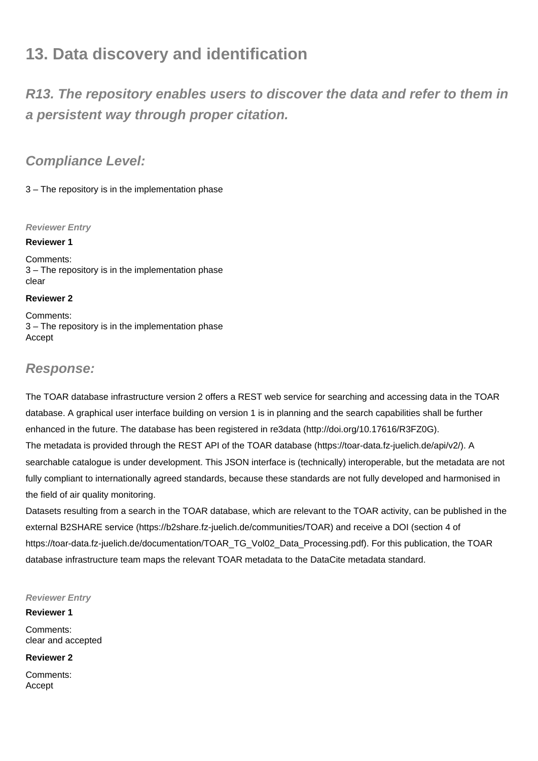## **13. Data discovery and identification**

**R13. The repository enables users to discover the data and refer to them in a persistent way through proper citation.**

### **Compliance Level:**

3 – The repository is in the implementation phase

### **Reviewer Entry**

### **Reviewer 1**

Comments: 3 – The repository is in the implementation phase clear

### **Reviewer 2**

Comments: 3 – The repository is in the implementation phase Accept

### **Response:**

The TOAR database infrastructure version 2 offers a REST web service for searching and accessing data in the TOAR database. A graphical user interface building on version 1 is in planning and the search capabilities shall be further enhanced in the future. The database has been registered in re3data [\(http://doi.org/10.17616/R3FZ0G](http://doi.org/10.17616/R3FZ0G)). The metadata is provided through the REST API of the TOAR database [\(https://toar-data.fz-juelich.de/api/v2/\)](https://toar-data.fz-juelich.de/api/v2/). A searchable catalogue is under development. This JSON interface is (technically) interoperable, but the metadata are not fully compliant to internationally agreed standards, because these standards are not fully developed and harmonised in the field of air quality monitoring.

Datasets resulting from a search in the TOAR database, which are relevant to the TOAR activity, can be published in the external B2SHARE service ([https://b2share.fz-juelich.de/communities/TOAR\)](https://b2share.fz-juelich.de/communities/TOAR) and receive a DOI (section 4 of [https://toar-data.fz-juelich.de/documentation/TOAR\\_TG\\_Vol02\\_Data\\_Processing.pdf](https://toar-data.fz-juelich.de/documentation/TOAR_TG_Vol02_Data_Processing.pdf)). For this publication, the TOAR database infrastructure team maps the relevant TOAR metadata to the DataCite metadata standard.

### **Reviewer Entry**

**Reviewer 1** Comments: clear and accepted

### **Reviewer 2**

Comments: Accept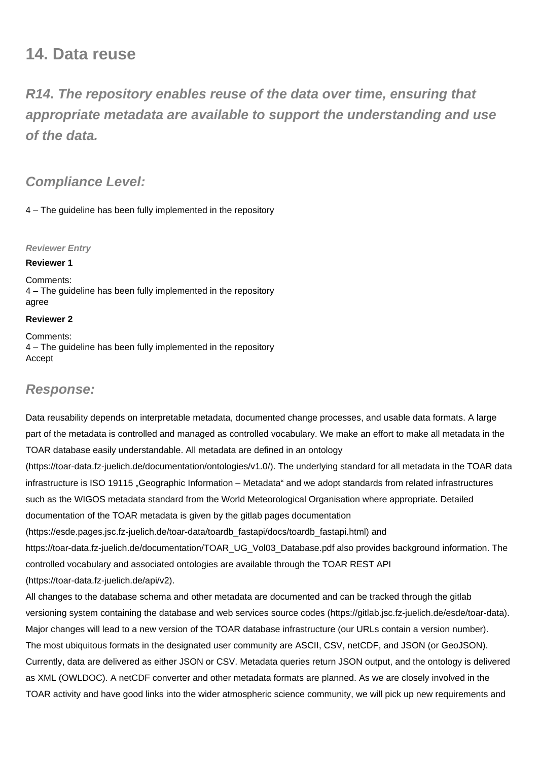## **14. Data reuse**

**R14. The repository enables reuse of the data over time, ensuring that appropriate metadata are available to support the understanding and use of the data.**

### **Compliance Level:**

4 – The guideline has been fully implemented in the repository

### **Reviewer Entry**

### **Reviewer 1**

Comments: 4 – The guideline has been fully implemented in the repository agree

### **Reviewer 2**

Comments: 4 – The guideline has been fully implemented in the repository Accept

### **Response:**

Data reusability depends on interpretable metadata, documented change processes, and usable data formats. A large part of the metadata is controlled and managed as controlled vocabulary. We make an effort to make all metadata in the TOAR database easily understandable. All metadata are defined in an ontology

(<https://toar-data.fz-juelich.de/documentation/ontologies/v1.0/>). The underlying standard for all metadata in the TOAR data infrastructure is ISO 19115 "Geographic Information – Metadata" and we adopt standards from related infrastructures such as the WIGOS metadata standard from the World Meteorological Organisation where appropriate. Detailed documentation of the TOAR metadata is given by the gitlab pages documentation ([https://esde.pages.jsc.fz-juelich.de/toar-data/toardb\\_fastapi/docs/toardb\\_fastapi.html](https://esde.pages.jsc.fz-juelich.de/toar-data/toardb_fastapi/docs/toardb_fastapi.html)) and [https://toar-data.fz-juelich.de/documentation/TOAR\\_UG\\_Vol03\\_Database.pdf](https://toar-data.fz-juelich.de/documentation/TOAR_UG_Vol03_Database.pdf) also provides background information. The controlled vocabulary and associated ontologies are available through the TOAR REST API (<https://toar-data.fz-juelich.de/api/v2>).

All changes to the database schema and other metadata are documented and can be tracked through the gitlab versioning system containing the database and web services source codes (<https://gitlab.jsc.fz-juelich.de/esde/toar-data>). Major changes will lead to a new version of the TOAR database infrastructure (our URLs contain a version number). The most ubiquitous formats in the designated user community are ASCII, CSV, netCDF, and JSON (or GeoJSON). Currently, data are delivered as either JSON or CSV. Metadata queries return JSON output, and the ontology is delivered as XML (OWLDOC). A netCDF converter and other metadata formats are planned. As we are closely involved in the TOAR activity and have good links into the wider atmospheric science community, we will pick up new requirements and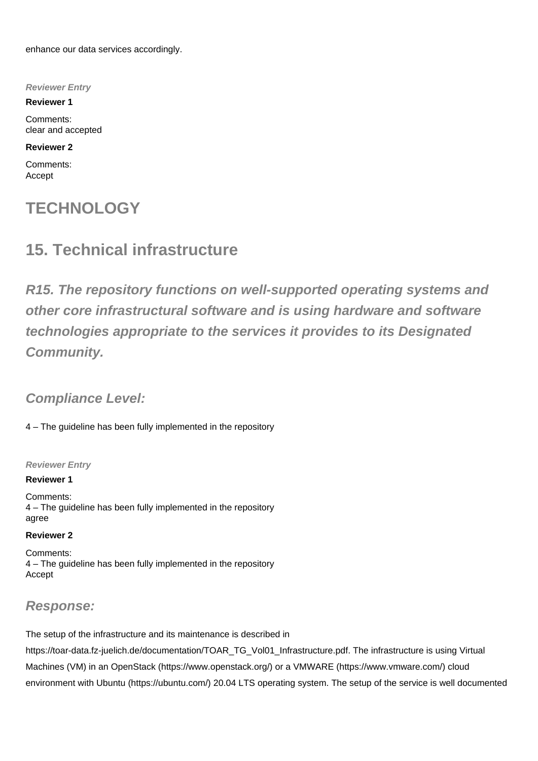enhance our data services accordingly.

**Reviewer Entry**

**Reviewer 1**

Comments: clear and accepted

### **Reviewer 2**

Comments: Accept

## **TECHNOLOGY**

## **15. Technical infrastructure**

**R15. The repository functions on well-supported operating systems and other core infrastructural software and is using hardware and software technologies appropriate to the services it provides to its Designated Community.**

### **Compliance Level:**

4 – The guideline has been fully implemented in the repository

### **Reviewer Entry**

### **Reviewer 1**

Comments: 4 – The guideline has been fully implemented in the repository agree

### **Reviewer 2**

Comments: 4 – The guideline has been fully implemented in the repository Accept

### **Response:**

The setup of the infrastructure and its maintenance is described in [https://toar-data.fz-juelich.de/documentation/TOAR\\_TG\\_Vol01\\_Infrastructure.pdf.](https://toar-data.fz-juelich.de/documentation/TOAR_TG_Vol01_Infrastructure.pdf.) The infrastructure is using Virtual Machines (VM) in an OpenStack [\(https://www.openstack.org/](https://www.openstack.org/)) or a VMWARE ([https://www.vmware.com/\)](https://www.vmware.com/) cloud environment with Ubuntu [\(https://ubuntu.com/](https://ubuntu.com/)) 20.04 LTS operating system. The setup of the service is well documented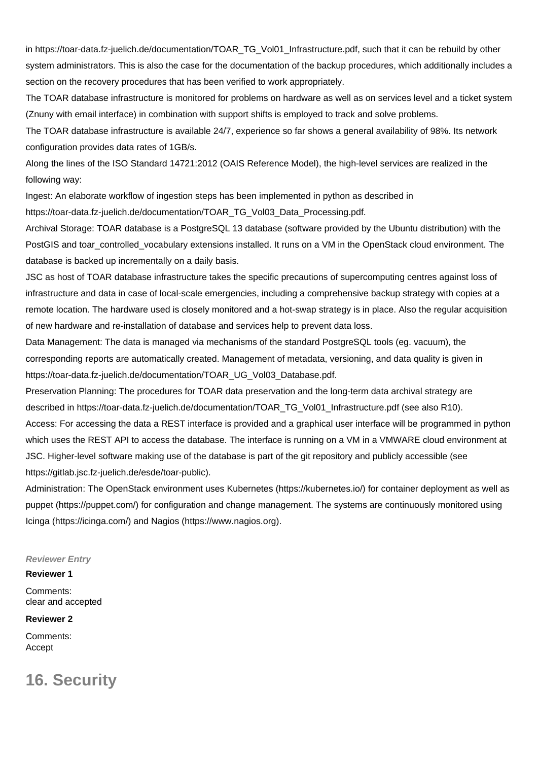in [https://toar-data.fz-juelich.de/documentation/TOAR\\_TG\\_Vol01\\_Infrastructure.pdf,](https://toar-data.fz-juelich.de/documentation/TOAR_TG_Vol01_Infrastructure.pdf,) such that it can be rebuild by other system administrators. This is also the case for the documentation of the backup procedures, which additionally includes a section on the recovery procedures that has been verified to work appropriately.

The TOAR database infrastructure is monitored for problems on hardware as well as on services level and a ticket system (Znuny with email interface) in combination with support shifts is employed to track and solve problems.

The TOAR database infrastructure is available 24/7, experience so far shows a general availability of 98%. Its network configuration provides data rates of 1GB/s.

Along the lines of the ISO Standard 14721:2012 (OAIS Reference Model), the high-level services are realized in the following way:

Ingest: An elaborate workflow of ingestion steps has been implemented in python as described in

[https://toar-data.fz-juelich.de/documentation/TOAR\\_TG\\_Vol03\\_Data\\_Processing.pdf.](https://toar-data.fz-juelich.de/documentation/TOAR_TG_Vol03_Data_Processing.pdf.)

Archival Storage: TOAR database is a PostgreSQL 13 database (software provided by the Ubuntu distribution) with the PostGIS and toar\_controlled\_vocabulary extensions installed. It runs on a VM in the OpenStack cloud environment. The database is backed up incrementally on a daily basis.

JSC as host of TOAR database infrastructure takes the specific precautions of supercomputing centres against loss of infrastructure and data in case of local-scale emergencies, including a comprehensive backup strategy with copies at a remote location. The hardware used is closely monitored and a hot-swap strategy is in place. Also the regular acquisition of new hardware and re-installation of database and services help to prevent data loss.

Data Management: The data is managed via mechanisms of the standard PostgreSQL tools (eg. vacuum), the corresponding reports are automatically created. Management of metadata, versioning, and data quality is given in [https://toar-data.fz-juelich.de/documentation/TOAR\\_UG\\_Vol03\\_Database.pdf.](https://toar-data.fz-juelich.de/documentation/TOAR_UG_Vol03_Database.pdf.)

Preservation Planning: The procedures for TOAR data preservation and the long-term data archival strategy are described in [https://toar-data.fz-juelich.de/documentation/TOAR\\_TG\\_Vol01\\_Infrastructure.pdf](https://toar-data.fz-juelich.de/documentation/TOAR_TG_Vol01_Infrastructure.pdf) (see also R10). Access: For accessing the data a REST interface is provided and a graphical user interface will be programmed in python which uses the REST API to access the database. The interface is running on a VM in a VMWARE cloud environment at JSC. Higher-level software making use of the database is part of the git repository and publicly accessible (see <https://gitlab.jsc.fz-juelich.de/esde/toar-public>).

Administration: The OpenStack environment uses Kubernetes [\(https://kubernetes.io/](https://kubernetes.io/)) for container deployment as well as puppet [\(https://puppet.com/](https://puppet.com/)) for configuration and change management. The systems are continuously monitored using Icinga [\(https://icinga.com/\)](https://icinga.com/) and Nagios ([https://www.nagios.org\)](https://www.nagios.org).

#### **Reviewer Entry**

#### **Reviewer 1**

Comments: clear and accepted

#### **Reviewer 2**

Comments: Accept

**16. Security**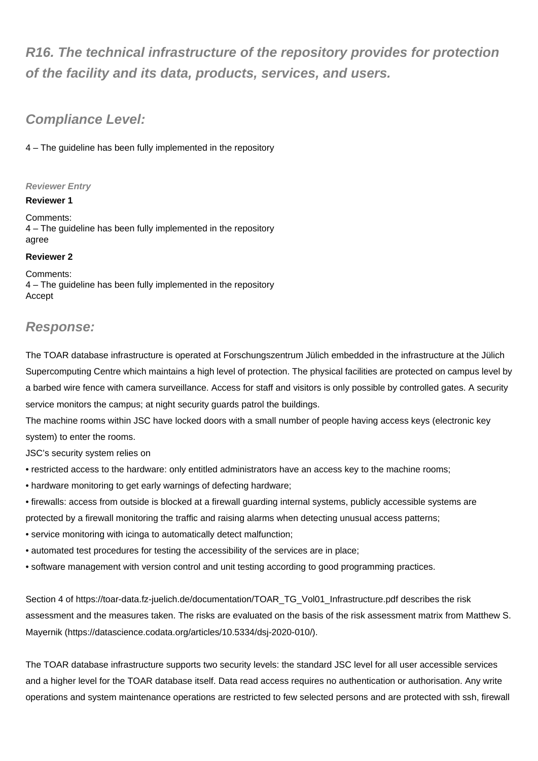## **R16. The technical infrastructure of the repository provides for protection of the facility and its data, products, services, and users.**

### **Compliance Level:**

4 – The guideline has been fully implemented in the repository

### **Reviewer Entry**

### **Reviewer 1**

Comments: 4 – The guideline has been fully implemented in the repository agree

### **Reviewer 2**

Comments: 4 – The guideline has been fully implemented in the repository Accept

### **Response:**

The TOAR database infrastructure is operated at Forschungszentrum Jülich embedded in the infrastructure at the Jülich Supercomputing Centre which maintains a high level of protection. The physical facilities are protected on campus level by a barbed wire fence with camera surveillance. Access for staff and visitors is only possible by controlled gates. A security service monitors the campus; at night security guards patrol the buildings.

The machine rooms within JSC have locked doors with a small number of people having access keys (electronic key system) to enter the rooms.

JSC's security system relies on

- restricted access to the hardware: only entitled administrators have an access key to the machine rooms;
- hardware monitoring to get early warnings of defecting hardware;
- firewalls: access from outside is blocked at a firewall guarding internal systems, publicly accessible systems are protected by a firewall monitoring the traffic and raising alarms when detecting unusual access patterns;
- service monitoring with icinga to automatically detect malfunction;
- automated test procedures for testing the accessibility of the services are in place;
- software management with version control and unit testing according to good programming practices.

Section 4 of [https://toar-data.fz-juelich.de/documentation/TOAR\\_TG\\_Vol01\\_Infrastructure.pdf](https://toar-data.fz-juelich.de/documentation/TOAR_TG_Vol01_Infrastructure.pdf) describes the risk assessment and the measures taken. The risks are evaluated on the basis of the risk assessment matrix from Matthew S. Mayernik [\(https://datascience.codata.org/articles/10.5334/dsj-2020-010/\)](https://datascience.codata.org/articles/10.5334/dsj-2020-010/).

The TOAR database infrastructure supports two security levels: the standard JSC level for all user accessible services and a higher level for the TOAR database itself. Data read access requires no authentication or authorisation. Any write operations and system maintenance operations are restricted to few selected persons and are protected with ssh, firewall